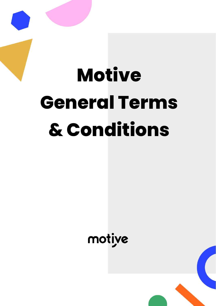# **Motive General Terms & Conditions**

motive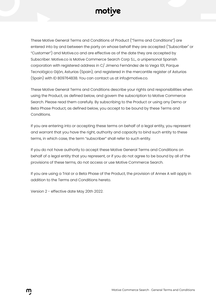

These Motive General Terms and Conditions of Product ("Terms and Conditions") are entered into by and between the party on whose behalf they are accepted ("Subscriber" or "Customer") and Motive.co and are effective as of the date they are accepted by Subscriber. Motive.co is Motive Commerce Search Corp S.L., a unipersonal Spanish corporation with registered address in C/ Jimena Fernández de la Vega 101, Parque Tecnológico Gijón, Asturias (Spain), and registered in the mercantile register of Asturias (Spain) with ID B09764838. You can contact us at info@motive.co.

These Motive General Terms and Conditions describe your rights and responsibilities when using the Product, as defined below, and govern the subscription to Motive Commerce Search. Please read them carefully. By subscribing to the Product or using any Demo or Beta Phase Product, as defined below, you accept to be bound by these Terms and Conditions.

If you are entering into or accepting these terms on behalf of a legal entity, you represent and warrant that you have the right, authority and capacity to bind such entity to these terms, in which case, the term "subscriber" shall refer to such entity.

If you do not have authority to accept these Motive General Terms and Conditions on behalf of a legal entity that you represent, or if you do not agree to be bound by all of the provisions of these terms, do not access or use Motive Commerce Search.

If you are using a Trial or a Beta Phase of the Product, the provision of Annex A will apply in addition to the Terms and Conditions hereto.

Version 2 - effective date May 20th 2022.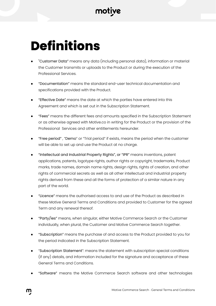## **Definitions**

- "Customer Data" means any data (including personal data), information or material the Customer transmits or uploads to the Product or during the execution of the Professional Services.
- "Documentation" means the standard end-user technical documentation and specifications provided with the Product.
- "Effective Date" means the date at which the parties have entered into this Agreement and which is set out in the Subscription Statement.
- "Fees" means the different fees and amounts specified in the Subscription Statement or as otherwise agreed with Motive.co in writing for the Product or the provision of the Professional Services and other entitlements hereunder.
- "Free period", "Demo" or "Trial period" if exists, means the period when the customer will be able to set up and use the Product at no charge.
- "Intellectual and Industrial Property Rights", or "IPR" means inventions, patent applications, patents, logotype rights, author rights or copyright, trademarks, Product marks, trade names, domain name rights, design rights, rights of creation, and other rights of commercial secrets as well as all other intellectual and industrial property rights derived from these and all the forms of protection of a similar nature in any part of the world.
- "Licence" means the authorised access to and use of the Product as described in these Motive General Terms and Conditions and provided to Customer for the agreed Term and any renewal thereof.
- "Party/ies" means, when singular, either Motive Commerce Search or the Customer individually, when plural, the Customer and Motive Commerce Search together.
- "Subscription" means the purchase of and access to the Product provided to you for the period indicated in the Subscription Statement.
- "Subscription Statement": means the statement with subscription special conditions (if any) details, and information included for the signature and acceptance of these General Terms and Conditions.
- "Software" means the Motive Commerce Search software and other technologies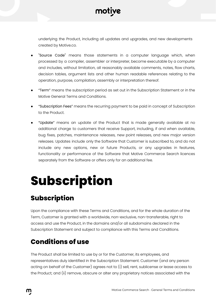

underlying the Product, including all updates and upgrades, and new developments created by Motive.co.

- "Source Code" means those statements in a computer language which, when processed by a compiler, assembler or interpreter, become executable by a computer and includes, without limitation, all reasonably available comments, notes, flow charts, decision tables, argument lists and other human readable references relating to the operation, purpose, compilation, assembly or interpretation thereof.
- "Term" means the subscription period as set out in the Subscription Statement or in the Motive General Terms and Conditions.
- "Subscription Fees" means the recurring payment to be paid in concept of Subscription to the Product.
- "Update" means an update of the Product that is made generally available at no additional charge to customers that receive Support, including, if and when available, bug fixes, patches, maintenance releases, new point releases, and new major version releases. Updates include only the Software that Customer is subscribed to, and do not include any new options, new or future Products, or any upgrades in features, functionality or performance of the Software that Motive Commerce Search licences separately from the Software or offers only for an additional fee.

## **Subscription**

#### **Subscription**

Upon the compliance with these Terms and Conditions, and for the whole duration of the Term, Customer is granted with a worldwide, non-exclusive, non-transferable, right to access and use the Product, in the domains and/or all subdomains declared in the Subscription Statement and subject to compliance with this Terms and Conditions.

#### **Conditions of use**

The Product shall be limited to use by or for the Customer, its employees, and representatives duly identified in the Subscription Statement. Customer (and any person acting on behalf of the Customer) agrees not to (i) sell, rent, sublicense or lease access to the Product; and (ii) remove, obscure or alter any proprietary notices associated with the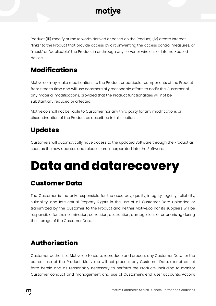

Product (iii) modify or make works derived or based on the Product; (iv) create Internet "links" to the Product that provide access by circumventing the access control measures, or "mask" or "duplicable" the Product in or through any server or wireless or Internet-based device.

#### **Modifications**

Motive.co may make modifications to the Product or particular components of the Product from time to time and will use commercially reasonable efforts to notify the Customer of any material modifications, provided that the Product functionalities will not be substantially reduced or affected.

Motive.co shall not be liable to Customer nor any third party for any modifications or discontinuation of the Product as described in this section.

#### **Updates**

Customers will automatically have access to the updated Software through the Product as soon as the new updates and releases are incorporated into the Software.

### **Data and datarecovery**

#### **Customer Data**

The Customer is the only responsible for the accuracy, quality, integrity, legality, reliability, suitability, and Intellectual Property Rights in the use of all Customer Data uploaded or transmitted by the Customer to the Product and neither Motive.co nor its suppliers will be responsible for their elimination, correction, destruction, damage, loss or error arising during the storage of the Customer Data.

#### **Authorisation**

Customer authorises Motive.co to store, reproduce and process any Customer Data for the correct use of the Product. Motive.co will not process any Customer Data, except as set forth herein and as reasonably necessary to perform the Products, including to monitor Customer conduct and management and use of Customer's end-user accounts. Actions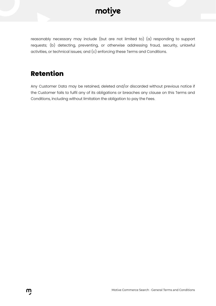

reasonably necessary may include (but are not limited to) (a) responding to support requests; (b) detecting, preventing, or otherwise addressing fraud, security, unlawful activities, or technical issues; and (c) enforcing these Terms and Conditions.

#### **Retention**

Any Customer Data may be retained, deleted and/or discarded without previous notice if the Customer fails to fulfil any of its obligations or breaches any clause on this Terms and Conditions, including without limitation the obligation to pay the Fees.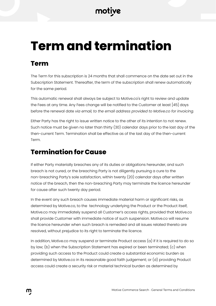## **Term and termination**

#### **Term**

The Term for this subscription is 24 months that shall commence on the date set out in the Subscription Statement. Thereafter, the term of the subscription shall renew automatically for the same period.

This automatic renewal shall always be subject to Motive.co's right to review and update the Fees at any time. Any Fees change will be notified to the Customer at least [45] days before the renewal date *via email, to the email address provided to Motive.co for invoicing.*

Either Party has the right to issue written notice to the other of its intention to not renew. Such notice must be given no later than thirty (30) calendar days prior to the last day of the then-current Term. Termination shall be effective as of the last day of the then-current Term.

#### **Termination for Cause**

If either Party materially breaches any of its duties or obligations hereunder, and such breach is not cured, or the breaching Party is not diligently pursuing a cure to the non-breaching Party's sole satisfaction, within twenty (20) calendar days after written notice of the breach, then the non-breaching Party may terminate the licence hereunder for cause after such twenty day period.

In the event any such breach causes immediate material harm or significant risks, as determined by Motive.co, to the technology underlying the Product or the Product itself, Motive.co may immediately suspend all Customer's access rights, provided that Motive.co shall provide Customer with immediate notice of such suspension. Motive.co will resume the licence hereunder when such breach is remedied and all issues related thereto are resolved, without prejudice to its right to terminate the licence.

In addition, Motive.co may suspend or terminate Product access  $(a)$  if it is required to do so by law; (b) when the Subscription Statement has expired or been terminated; (c) when providing such access to the Product could create a substantial economic burden as determined by Motive.co in its reasonable good faith judgement; or (d) providing Product access could create a security risk or material technical burden as determined by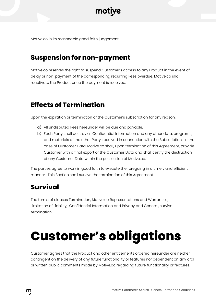

Motive.co in its reasonable good faith judgement.

#### **Suspension for non-payment**

Motive.co reserves the right to suspend Customer's access to any Product in the event of delay or non-payment of the corresponding recurring Fees overdue. Motive.co shall reactivate the Product once the payment is received.

#### **Effects of Termination**

Upon the expiration or termination of the Customer's subscription for any reason:

- a) All undisputed Fees hereunder will be due and payable.
- b) Each Party shall destroy all Confidential Information and any other data, programs, and materials of the other Party, received in connection with the Subscription. In the case of Customer Data, Motive.co shall, upon termination of this Agreement, provide Customer with a final export of the Customer Data and shall certify the destruction of any Customer Data within the possession of Motive.co.

The parties agree to work in good faith to execute the foregoing in a timely and efficient manner. This Section shall survive the termination of this Agreement.

#### **Survival**

The terms of clauses Termination, Motive.co Representations and Warranties, Limitation of Liability, Confidential Information and Privacy and General, survive termination.

## **Customer's obligations**

Customer agrees that the Product and other entitlements ordered hereunder are neither contingent on the delivery of any future functionality or features nor dependent on any oral or written public comments made by Motive.co regarding future functionality or features.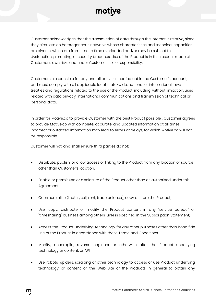

Customer acknowledges that the transmission of data through the Internet is relative, since they circulate on heterogeneous networks whose characteristics and technical capacities are diverse, which are from time to time overloaded and/or may be subject to dysfunctions, rerouting, or security breaches. Use of the Product is in this respect made at Customer's own risks and under Customer's sole responsibility.

Customer is responsible for any and all activities carried out in the Customer's account, and must comply with all applicable local, state-wide, national or international laws, treaties and regulations related to the use of the Product, including, without limitation, uses related with data privacy, international communications and transmission of technical or personal data.

In order for Motive.co to provide Customer with the best Product possible , Customer agrees to provide Motive.co with complete, accurate, and updated information at all times. Incorrect or outdated information may lead to errors or delays, for which Motive.co will not be responsible.

Customer will not, and shall ensure third parties do not:

- Distribute, publish, or allow access or linking to the Product from any location or source other than Customer's location.
- Enable or permit use or disclosure of the Product other than as authorised under this Agreement.
- Commercialise (that is, sell, rent, trade or lease), copy or store the Product;
- Use, copy, distribute or modify the Product content in any "service bureau" or "timesharing" business among others, unless specified in the Subscription Statement;
- Access the Product underlying technology for any other purposes other than bona fide use of the Product in accordance with these Terms and Conditions.
- Modify, decompile, reverse engineer or otherwise alter the Product underlying technology or content, or API.
- Use robots, spiders, scraping or other technology to access or use Product underlying technology or content or the Web Site or the Products in general to obtain any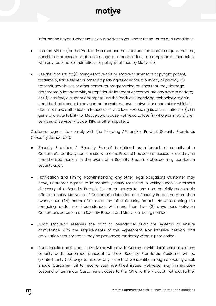

information beyond what Motive.co provides to you under these Terms and Conditions.

- Use the API and/or the Product in a manner that exceeds reasonable request volume, constitutes excessive or abusive usage or otherwise fails to comply or is inconsistent with any reasonable instructions or policy published by Motive.co.
- use the Product to: (i) infringe Motive.co's or Motive.co licensor's copyright, patent, trademark, trade secret or other property rights or rights of publicity or privacy; (ii) transmit any viruses or other computer programming routines that may damage, detrimentally interfere with, surreptitiously intercept or expropriate any system or data; or (iii) interfere, disrupt or attempt to use the Products underlying technology to gain unauthorised access to any computer system, server, network or account for which it does not have authorisation to access or at a level exceeding its authorisation; or (iv) in general create liability for Motive.co or cause Motive.co to lose (in whole or in part) the services of Servicer Provider ISPs or other suppliers.

Customer agrees to comply with the following API and/or Product Security Standards ("Security Standards"):

- Security Breaches. A "Security Breach" is defined as a breach of security of a Customer's facility, systems or site where the Product has been accessed or used by an unauthorised person. In the event of a Security Breach, Motive.co may conduct a security audit.
- Notification and Timing. Notwithstanding any other legal obligations Customer may have, Customer agrees to immediately notify Motive.co in writing upon Customer's discovery of a Security Breach. Customer agrees to use commercially reasonable efforts to notify Motive.co of Customer's detection of a Security Breach no more than twenty-four (24) hours after detection of a Security Breach. Notwithstanding the foregoing, under no circumstances will more than two (2) days pass between Customer's detection of a Security Breach and Motive.co being notified.
- Audit. Motive.co reserves the right to periodically audit the Systems to ensure compliance with the requirements of this Agreement. Non-intrusive network and application security scans may be performed randomly without prior notice.
- Audit Results and Response. Motive.co will provide Customer with detailed results of any security audit performed pursuant to these Security Standards. Customer will be granted thirty (30) days to resolve any issue that we identify through a security audit. Should Customer fail to resolve such identified issues, Motive.co may immediately suspend or terminate Customer's access to the API and the Product without further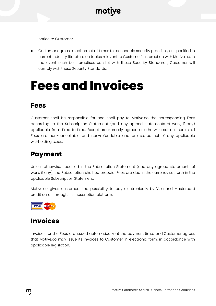notice to Customer.

Customer agrees to adhere at all times to reasonable security practises, as specified in current industry literature on topics relevant to Customer's interaction with Motive.co. In the event such best practises conflict with these Security Standards, Customer will comply with these Security Standards.

### **Fees and Invoices**

#### **Fees**

Customer shall be responsible for and shall pay to Motive.co the corresponding Fees according to the Subscription Statement (and any agreed statements of work, if any) applicable from time to time. Except as expressly agreed or otherwise set out herein, all Fees are non-cancellable and non-refundable and are stated net of any applicable withholding taxes.

#### **Payment**

Unless otherwise specified in the Subscription Statement (and any agreed statements of work, if any), the Subscription shall be prepaid. Fees are due in the currency set forth in the applicable Subscription Statement.

Motive.co gives customers the possibility to pay electronically by Visa and Mastercard credit cards through its subscription platform.



#### **Invoices**

Invoices for the Fees are issued automatically at the payment time, and Customer agrees that Motive.co may issue its invoices to Customer in electronic form, in accordance with applicable legislation.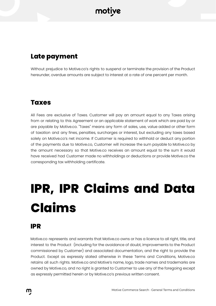#### **Late payment**

Without prejudice to Motive.co's rights to suspend or terminate the provision of the Product hereunder, overdue amounts are subject to interest at a rate of one percent per month.

#### **Taxes**

All Fees are exclusive of Taxes. Customer will pay an amount equal to any Taxes arising from or relating to this Agreement or an applicable statement of work which are paid by or are payable by Motive.co. "Taxes" means any form of sales, use, value added or other form of taxation and any fines, penalties, surcharges or interest, but excluding any taxes based solely on Motive.co's net income. If Customer is required to withhold or deduct any portion of the payments due to Motive.co, Customer will increase the sum payable to Motive.co by the amount necessary so that Motive.co receives an amount equal to the sum it would have received had Customer made no withholdings or deductions or provide Motive.co the corresponding tax withholding certificate.

## **IPR, IPR Claims and Data Claims**

#### **IPR**

Motive.co represents and warrants that Motive.co owns or has a licence to all right, title, and interest to the Product (including for the avoidance of doubt, improvements to the Product commissioned by Customer) and associated documentation, and the right to provide the Product. Except as expressly stated otherwise in these Terms and Conditions, Motive.co retains all such rights. Motive.co and Motive's name, logo, trade names and trademarks are owned by Motive.co, and no right is granted to Customer to use any of the foregoing except as expressly permitted herein or by Motive.co's previous written consent.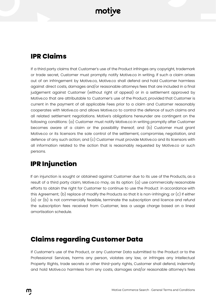#### **IPR Claims**

If a third party claims that Customer's use of the Product infringes any copyright, trademark or trade secret, Customer must promptly notify Motive.co in writing. If such a claim arises out of an infringement by Motive.co, Motive.co shall defend and hold Customer harmless against direct costs, damages and/or reasonable attorneys fees that are included in a final judgement against Customer (without right of appeal) or in a settlement approved by Motive.co that are attributable to Customer's use of the Product, provided that Customer is current in the payment of all applicable Fees prior to a claim and Customer reasonably cooperates with Motive.co and allows Motive.co to control the defence of such claims and all related settlement negotiations. Motive's obligations hereunder are contingent on the following conditions: (a) Customer must notify Motive.co in writing promptly after Customer becomes aware of a claim or the possibility thereof; and (b) Customer must grant Motive.co or its licensors the sole control of the settlement, compromise, negotiation, and defence of any such action; and (c) Customer must provide Motive.co and its licensors with all information related to the action that is reasonably requested by Motive.co or such persons.

#### **IPR Injunction**

If an injunction is sought or obtained against Customer due to its use of the Products, as a result of a third party claim, Motive.co may, as its option: (a) use commercially reasonable efforts to obtain the right for Customer to continue to use the Product in accordance with this Agreement; (b) replace of modify the Products so that it is non-infringing; or (c) If either (a) or (b) is not commercially feasible, terminate the subscription and licence and refund the subscription fees received from Customer, less a usage charge based on a lineal amortisation schedule.

#### **Claims regarding Customer Data**

If Customer's use of the Product, or any Customer Data submitted to the Product or to the Professional Services, harms any person, violates any law, or infringes any Intellectual Property Rights, trade secrets or other third-party rights, Customer shall defend, indemnify and hold Motive.co harmless from any costs, damages and/or reasonable attorney's fees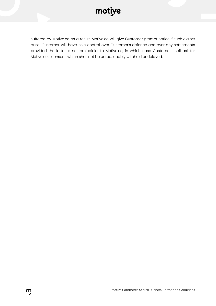#### motiye

suffered by Motive.co as a result. Motive.co will give Customer prompt notice if such claims arise. Customer will have sole control over Customer's defence and over any settlements provided the latter is not prejudicial to Motive.co, in which case Customer shall ask for Motive.co's consent, which shall not be unreasonably withheld or delayed.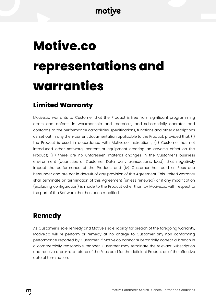## **Motive.co representations and warranties**

#### **Limited Warranty**

Motive.co warrants to Customer that the Product is free from significant programming errors and defects in workmanship and materials, and substantially operates and conforms to the performance capabilities, specifications, functions and other descriptions as set out in any then-current documentation applicable to the Product; provided that: (i) the Product is used in accordance with Motive.co instructions; (ii) Customer has not introduced other software, content or equipment creating an adverse effect on the Product; (iii) there are no unforeseen material changes in the Customer's business environment (quantities of Customer Data, daily transactions, load), that negatively impact the performance of the Product; and (iv) Customer has paid all Fees due hereunder and are not in default of any provision of this Agreement. This limited warranty shall terminate on termination of this Agreement (unless renewed) or if any modification (excluding configuration) is made to the Product other than by Motive.co, with respect to the part of the Software that has been modified.

#### **Remedy**

As Customer's sole remedy and Motive's sole liability for breach of the foregoing warranty, Motive.co will re-perform or remedy at no charge to Customer any non-conforming performance reported by Customer. If Motive.co cannot substantially correct a breach in a commercially reasonable manner, Customer may terminate the relevant Subscription and receive a pro-rata refund of the Fees paid for the deficient Product as of the effective date of termination.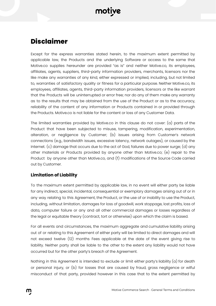#### **Disclaimer**

Except for the express warranties stated herein, to the maximum extent permitted by applicable law, the Products and the underlying Software or access to the same that Motive.co supplies hereunder are provided "as is" and neither Motive.co, its employees, affiliates, agents, suppliers, third-party information providers, merchants, licensors nor the like make any warranties of any kind, either expressed or implied, including, but not limited to, warranties of satisfactory quality or fitness for a particular purpose. Neither Motive.co, its employees, affiliates, agents, third-party information providers, licensors or the like warrant that the Products will be uninterrupted or error free; nor do any of them make any warranty as to the results that may be obtained from the use of the Product or as to the accuracy, reliability of the content of any information or Products contained in or provided through the Products. Motive.co is not liable for the content or loss of any Customer Data.

The limited warranties provided by Motive.co in this clause do not cover: (a) parts of the Product that have been subjected to misuse, tampering, modification, experimentation, alteration, or negligence by Customer; (b) issues arising from Customer's network connections (e.g., bandwidth issues, excessive latency, network outages), or caused by the Internet. (c) damage that occurs due to the act of God, failures due to power surge; (d) any other materials or Products provided by anyone other than Motive.co; (e) repair to the Product by anyone other than Motive.co, and (f) modifications of the Source Code carried out by Customer.

#### **Limitation of Liability**

To the maximum extent permitted by applicable law, in no event will either party be liable for any indirect, special, incidental, consequential or exemplary damages arising out of or in any way relating to this Agreement, the Product, or the use of or inability to use the Product, including, without limitation, damages for loss of goodwill, work stoppage, lost profits, loss of data, computer failure or any and all other commercial damages or losses regardless of the legal or equitable theory (contract, tort or otherwise) upon which the claim is based.

For all events and circumstances, the maximum aggregate and cumulative liability arising out of or relating to this Agreement of either party will be limited to direct damages and will not exceed twelve (12) months Fees applicable at the date of the event giving rise to liability. Neither party shall be liable to the other to the extent any liability would not have occurred but for the other party's breach of the Agreement.

Nothing in this Agreement is intended to exclude or limit either party's liability (a) for death or personal injury, or (b) for losses that are caused by fraud, gross negligence or wilful misconduct of that party, provided however in this case that to the extent permitted by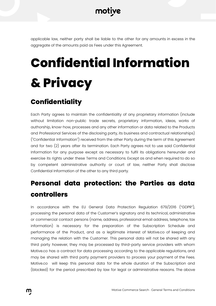applicable law, neither party shall be liable to the other for any amounts in excess in the aggregate of the amounts paid as Fees under this Agreement.

## **Confidential Information & Privacy**

#### **Confidentiality**

Each Party agrees to maintain the confidentiality of any proprietary information (include without limitation non-public trade secrets, proprietary information, ideas, works of authorship, know-how, processes and any other information or data related to the Products and Professional Services of the disclosing party, its business and contractual relationships) ("Confidential Information") received from the other Party during the term of this Agreement and for two (2) years after its termination. Each Party agrees not to use said Confidential Information for any purpose except as necessary to fulfil its obligations hereunder and exercise its rights under these Terms and Conditions. Except as and when required to do so by competent administrative authority or court of law, neither Party shall disclose Confidential Information of the other to any third party.

#### **Personal data protection: the Parties as data controllers**

In accordance with the EU General Data Protection Regulation 679/2016 ("GDPR"), processing the personal data of the Customer's signatory and its technical, administrative or commercial contact persons (name, address, professional email address, telephone, tax information) is necessary for the preparation of the Subscription Schedule and performance of the Product, and as a legitimate interest of Motive.co of keeping and managing the relation with the Customer. This personal data will not be shared with any third party however, they may be processed by third-party service providers with whom Motive.co has a contract for data processing according to the applicable regulations, and may be shared with third party payment providers to process your payment of the Fees. Motive.co will keep this personal data for the whole duration of the Subscription and (blocked) for the period prescribed by law for legal or administrative reasons. The above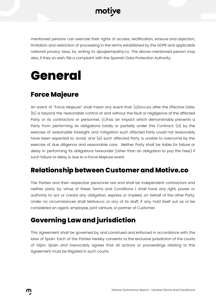

mentioned persons can exercise their rights of access, rectification, erasure and objection, limitation and restriction of processing in the terms established by the GDPR and applicable national privacy laws, by writing to dpo@empathy.co. The above-mentioned person may also, if they so wish, file a complaint with the Spanish Data Protection Authority.

### **General**

#### **Force Majeure**

An event of "Force Majeure" shall mean any event that: (a)occurs after the Effective Date; (b) is beyond the reasonable control of and without the fault or negligence of the affected Party or its contractors or personnel; (c)has an impact which demonstrably prevents a Party from performing its obligations totally or partially under this Contract; (d) by the exercise of reasonable foresight and mitigation such affected Party could not reasonably have been expected to avoid; and (e) such affected Party is unable to overcome by the exercise of due diligence and reasonable care. Neither Party shall be liable for failure or delay in performing its obligations hereunder (other than an obligation to pay the Fees) if such failure or delay is due to a Force Majeure event.

#### **Relationship between Customer and Motive.co**

The Parties and their respective personnel are and shall be independent contractors and neither party by virtue of these Terms and Conditions t shall have any right, power or authority to act or create any obligation, express or implied, on behalf of the other Party. Under no circumstances shall Motive.co, or any of its staff, if any, hold itself out as or be considered an agent, employee, joint venture, or partner of Customer.

#### **Governing Law and jurisdiction**

This Agreement shall be governed by, and construed and enforced in accordance with, the laws of Spain. Each of the Parties hereby consents to the exclusive jurisdiction of the courts of Gijón, Spain and irrevocably agrees that all actions or proceedings relating to this Agreement must be litigated in such courts.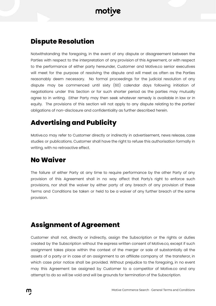#### **Dispute Resolution**

Notwithstanding the foregoing, in the event of any dispute or disagreement between the Parties with respect to the interpretation of any provision of this Agreement, or with respect to the performance of either party hereunder, Customer and Motive.co senior executives will meet for the purpose of resolving the dispute and will meet as often as the Parties reasonably deem necessary. No formal proceedings for the judicial resolution of any dispute may be commenced until sixty (60) calendar days following initiation of negotiations under this Section or for such shorter period as the parties may mutually agree to in writing. Either Party may then seek whatever remedy is available in law or in equity. The provisions of this section will not apply to any dispute relating to the parties' obligations of non-disclosure and confidentiality as further described herein.

#### **Advertising and Publicity**

Motive.co may refer to Customer directly or indirectly in advertisement, news release, case studies or publications. Customer shall have the right to refuse this authorisation formally in writing, with no retroactive effect.

#### **No Waiver**

The failure of either Party at any time to require performance by the other Party of any provision of this Agreement shall in no way affect that Party's right to enforce such provisions, nor shall the waiver by either party of any breach of any provision of these Terms and Conditions be taken or held to be a waiver of any further breach of the same provision.

#### **Assignment of Agreement**

Customer shall not, directly or indirectly, assign the Subscription or the rights or duties created by the Subscription without the express written consent of Motive.co, except if such assignment takes place within the context of the merger or sale of substantially all the assets of a party or in case of an assignment to an affiliate company of the transferor, in which case prior notice shall be provided. Without prejudice to the foregoing, in no event may this Agreement be assigned by Customer to a competitor of Motive.co and any attempt to do so will be void and will be grounds for termination of the Subscription.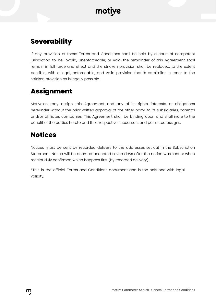#### **Severability**

If any provision of these Terms and Conditions shall be held by a court of competent jurisdiction to be invalid, unenforceable, or void, the remainder of this Agreement shall remain in full force and effect and the stricken provision shall be replaced, to the extent possible, with a legal, enforceable, and valid provision that is as similar in tenor to the stricken provision as is legally possible.

#### **Assignment**

Motive.co may assign this [Agreement](https://www.lawinsider.com/clause/this-agreement) and any of its [rights](https://www.lawinsider.com/clause/rights), [interests](https://www.lawinsider.com/clause/interests), or [obligations](https://www.lawinsider.com/clause/obligations) hereunder without the prior written [approval](https://www.lawinsider.com/dictionary/approval-of) of the [other](https://www.lawinsider.com/clause/other-parties) party, to its subsidiaries, parental and/or affiliates companies. This Agreement shall be [binding](https://www.lawinsider.com/clause/binding-upon) upon and shall inure to the benefit of the [parties](https://www.lawinsider.com/clause/parties-hereto) hereto and their respective [successors](https://www.lawinsider.com/clause/respective-successors-and-permitted-assigns) and permitted assigns.

#### **Notices**

Notices must be sent by recorded delivery to the addresses set out in the Subscription Statement. Notice will be deemed accepted seven days after the notice was sent or when receipt duly confirmed which happens first (by recorded delivery).

\*This is the official Terms and Conditions document and is the only one with legal validity.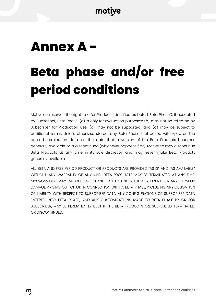### **Annex A -**

## **Beta phase and/or free period conditions**

Motive.co reserves the right to offer Products identified as beta ("Beta Phase"). If accepted by Subscriber, Beta Phase: (a) is only for evaluation purposes; (b) may not be relied on by Subscriber for Production use; (c) may not be supported; and (d) may be subject to additional terms. Unless otherwise stated, any Beta Phase trial period will expire on the agreed termination date, on the date that a version of the Beta Products becomes generally available or is discontinued (whichever happens first). Motive.co may discontinue Beta Products at any time in its sole discretion and may never make Beta Products generally available.

ALL BETA AND FREE PERIOD PRODUCT OR PRODUCTS ARE PROVIDED "AS IS" AND "AS AVAILABLE" WITHOUT ANY WARRANTY OF ANY KIND. BETA PRODUCTS MAY BE TERMINATED AT ANY TIME. Motive.co DISCLAIMS ALL OBLIGATION AND LIABILITY UNDER THE AGREEMENT FOR ANY HARM OR DAMAGE ARISING OUT OF OR IN CONNECTION WITH A BETA PHASE, INCLUDING ANY OBLIGATION OR LIABILITY WITH RESPECT TO SUBSCRIBER DATA. ANY CONFIGURATIONS OR SUBSCRIBER DATA ENTERED INTO BETA PHASE, AND ANY CUSTOMIZATIONS MADE TO BETA PHASE BY OR FOR SUBSCRIBER, MAY BE PERMANENTLY LOST IF THE BETA PRODUCTS ARE SUSPENDED, TERMINATED, OR DISCONTINUED.